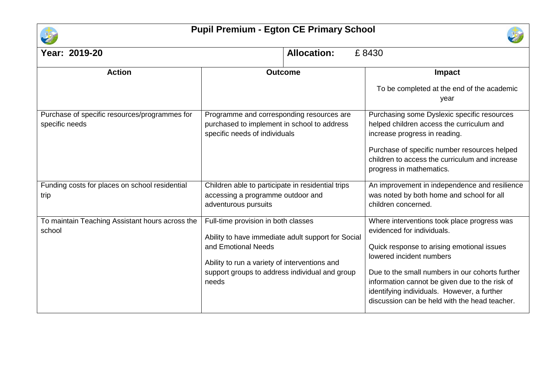

## **Pupil Premium - Egton CE Primary School**



| Year: 2019-20                                                   | <b>Allocation:</b>                                                                                                                                                                                                           | £8430                                                                                                                                                                                                                                                                                                                                                    |  |
|-----------------------------------------------------------------|------------------------------------------------------------------------------------------------------------------------------------------------------------------------------------------------------------------------------|----------------------------------------------------------------------------------------------------------------------------------------------------------------------------------------------------------------------------------------------------------------------------------------------------------------------------------------------------------|--|
| <b>Action</b>                                                   | <b>Outcome</b>                                                                                                                                                                                                               | Impact<br>To be completed at the end of the academic<br>year                                                                                                                                                                                                                                                                                             |  |
| Purchase of specific resources/programmes for<br>specific needs | Programme and corresponding resources are<br>purchased to implement in school to address<br>specific needs of individuals                                                                                                    | Purchasing some Dyslexic specific resources<br>helped children access the curriculum and<br>increase progress in reading.<br>Purchase of specific number resources helped<br>children to access the curriculum and increase<br>progress in mathematics.                                                                                                  |  |
| Funding costs for places on school residential<br>trip          | Children able to participate in residential trips<br>accessing a programme outdoor and<br>adventurous pursuits                                                                                                               | An improvement in independence and resilience<br>was noted by both home and school for all<br>children concerned.                                                                                                                                                                                                                                        |  |
| To maintain Teaching Assistant hours across the<br>school       | Full-time provision in both classes<br>Ability to have immediate adult support for Social<br>and Emotional Needs<br>Ability to run a variety of interventions and<br>support groups to address individual and group<br>needs | Where interventions took place progress was<br>evidenced for individuals.<br>Quick response to arising emotional issues<br>lowered incident numbers<br>Due to the small numbers in our cohorts further<br>information cannot be given due to the risk of<br>identifying individuals. However, a further<br>discussion can be held with the head teacher. |  |